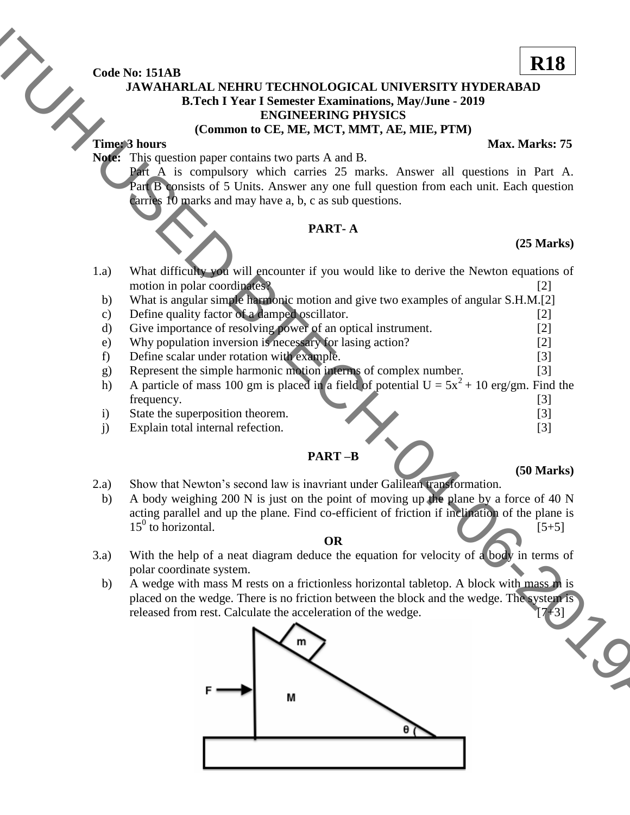**Code No: 151AB**

# **JAWAHARLAL NEHRU TECHNOLOGICAL UNIVERSITY HYDERABAD B.Tech I Year I Semester Examinations, May/June - 2019 ENGINEERING PHYSICS**

### **(Common to CE, ME, MCT, MMT, AE, MIE, PTM)**

## **Time: 3 hours** Max. Marks: 75

**Note:** This question paper contains two parts A and B.

Part A is compulsory which carries 25 marks. Answer all questions in Part A. Part B consists of 5 Units. Answer any one full question from each unit. Each question carries 10 marks and may have a, b, c as sub questions.

# **PART- A**

# **(25 Marks)**

- 1.a) What difficulty you will encounter if you would like to derive the Newton equations of motion in polar coordinates? [2]
	- b) What is angular simple harmonic motion and give two examples of angular S.H.M.[2]
	- c) Define quality factor of a damped oscillator. [2]
	- d) Give importance of resolving power of an optical instrument. [2]
	- e) Why population inversion is necessary for lasing action? [2]
	- f) Define scalar under rotation with example. [3]
	- g) Represent the simple harmonic motion interms of complex number. [3]
	- h) A particle of mass 100 gm is placed in a field of potential  $U = 5x^2 + 10$  erg/gm. Find the frequency. [3]
	- i) State the superposition theorem. [3]
	- j) Explain total internal refection. [3]

# **PART –B**

- 2.a) Show that Newton's second law is inavriant under Galilean transformation.
- b) A body weighing 200 N is just on the point of moving up the plane by a force of 40 N acting parallel and up the plane. Find co-efficient of friction if inclination of the plane is  $15^0$  to horizontal. [5+5]

#### **OR**

- 3.a) With the help of a neat diagram deduce the equation for velocity of a body in terms of polar coordinate system.
- b) A wedge with mass M rests on a frictionless horizontal tabletop. A block with mass m is placed on the wedge. There is no friction between the block and the wedge. The system is released from rest. Calculate the acceleration of the wedge.



# **(50 Marks)**



**R18**